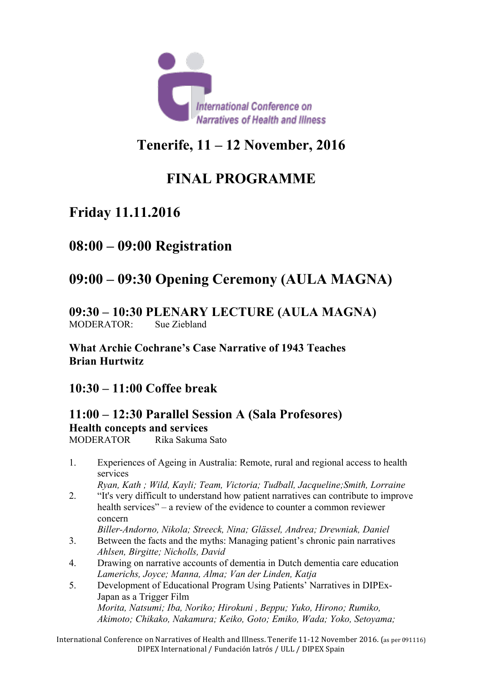

# **Tenerife, 11 – 12 November, 2016**

# **FINAL PROGRAMME**

# **Friday 11.11.2016**

# **08:00 – 09:00 Registration**

# **09:00 – 09:30 Opening Ceremony (AULA MAGNA)**

#### **09:30 – 10:30 PLENARY LECTURE (AULA MAGNA)** MODERATOR: Sue Ziebland

**What Archie Cochrane's Case Narrative of 1943 Teaches Brian Hurtwitz**

### **10:30 – 11:00 Coffee break**

## **11:00 – 12:30 Parallel Session A (Sala Profesores) Health concepts and services**

MODERATOR Rika Sakuma Sato

1. Experiences of Ageing in Australia: Remote, rural and regional access to health services

*Ryan, Kath ; Wild, Kayli; Team, Victoria; Tudball, Jacqueline;Smith, Lorraine*

2. "It's very difficult to understand how patient narratives can contribute to improve health services" – a review of the evidence to counter a common reviewer concern

*Biller-Andorno, Nikola; Streeck, Nina; Glässel, Andrea; Drewniak, Daniel*

- 3. Between the facts and the myths: Managing patient's chronic pain narratives *Ahlsen, Birgitte; Nicholls, David*
- 4. Drawing on narrative accounts of dementia in Dutch dementia care education *Lamerichs, Joyce; Manna, Alma; Van der Linden, Katja*
- 5. Development of Educational Program Using Patients' Narratives in DIPEx-Japan as a Trigger Film *Morita, Natsumi; Iba, Noriko; Hirokuni , Beppu; Yuko, Hirono; Rumiko, Akimoto; Chikako, Nakamura; Keiko, Goto; Emiko, Wada; Yoko, Setoyama;*

International Conference on Narratives of Health and Illness. Tenerife 11-12 November 2016. (as per 091116) DIPEX International / Fundación Iatrós / ULL / DIPEX Spain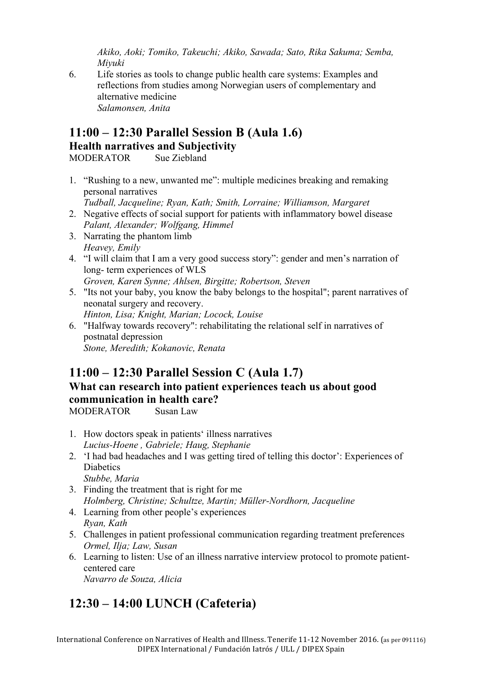*Akiko, Aoki; Tomiko, Takeuchi; Akiko, Sawada; Sato, Rika Sakuma; Semba, Miyuki*

6. Life stories as tools to change public health care systems: Examples and reflections from studies among Norwegian users of complementary and alternative medicine *Salamonsen, Anita*

### **11:00 – 12:30 Parallel Session B (Aula 1.6) Health narratives and Subjectivity**

MODERATOR Sue Ziebland

1. "Rushing to a new, unwanted me": multiple medicines breaking and remaking personal narratives

*Tudball, Jacqueline; Ryan, Kath; Smith, Lorraine; Williamson, Margaret*

- 2. Negative effects of social support for patients with inflammatory bowel disease *Palant, Alexander; Wolfgang, Himmel*
- 3. Narrating the phantom limb *Heavey, Emily*
- 4. "I will claim that I am a very good success story": gender and men's narration of long- term experiences of WLS

*Groven, Karen Synne; Ahlsen, Birgitte; Robertson, Steven*

- 5. "Its not your baby, you know the baby belongs to the hospital"; parent narratives of neonatal surgery and recovery. *Hinton, Lisa; Knight, Marian; Locock, Louise*
- 6. "Halfway towards recovery": rehabilitating the relational self in narratives of postnatal depression *Stone, Meredith; Kokanovic, Renata*

# **11:00 – 12:30 Parallel Session C (Aula 1.7)**

### **What can research into patient experiences teach us about good communication in health care?**

MODERATOR Susan Law

- 1. How doctors speak in patients' illness narratives *Lucius-Hoene , Gabriele; Haug, Stephanie*
- 2. 'I had bad headaches and I was getting tired of telling this doctor': Experiences of **Diabetics** *Stubbe, Maria*
- 3. Finding the treatment that is right for me *Holmberg, Christine; Schultze, Martin; Müller-Nordhorn, Jacqueline*
- 4. Learning from other people's experiences *Ryan, Kath*
- 5. Challenges in patient professional communication regarding treatment preferences *Ormel, Ilja; Law, Susan*
- 6. Learning to listen: Use of an illness narrative interview protocol to promote patientcentered care *Navarro de Souza, Alicia*

# **12:30 – 14:00 LUNCH (Cafeteria)**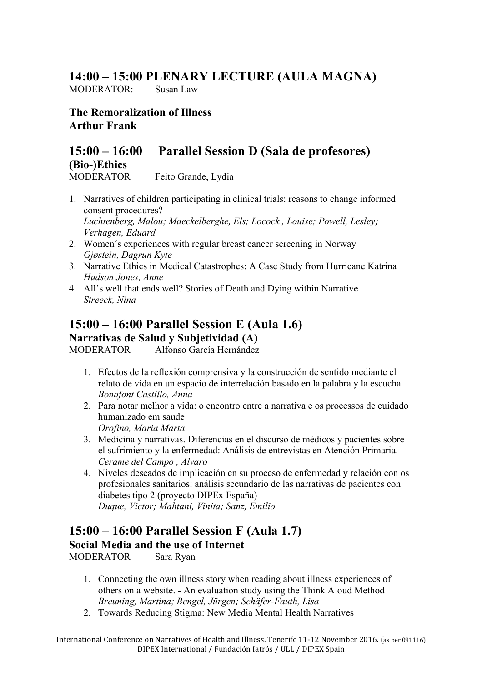## **14:00 – 15:00 PLENARY LECTURE (AULA MAGNA)**

MODERATOR: Susan Law

**The Remoralization of Illness Arthur Frank**

# **15:00 – 16:00 Parallel Session D (Sala de profesores) (Bio-)Ethics**

MODERATOR Feito Grande, Lydia

- 1. Narratives of children participating in clinical trials: reasons to change informed consent procedures? *Luchtenberg, Malou; Maeckelberghe, Els; Locock , Louise; Powell, Lesley; Verhagen, Eduard*
- 2. Women´s experiences with regular breast cancer screening in Norway *Gjøstein, Dagrun Kyte*
- 3. Narrative Ethics in Medical Catastrophes: A Case Study from Hurricane Katrina *Hudson Jones, Anne*
- 4. All's well that ends well? Stories of Death and Dying within Narrative *Streeck, Nina*

## **15:00 – 16:00 Parallel Session E (Aula 1.6) Narrativas de Salud y Subjetividad (A)**

MODERATOR Alfonso García Hernández

- 1. Efectos de la reflexión comprensiva y la construcción de sentido mediante el relato de vida en un espacio de interrelación basado en la palabra y la escucha *Bonafont Castillo, Anna*
- 2. Para notar melhor a vida: o encontro entre a narrativa e os processos de cuidado humanizado em saude *Orofino, Maria Marta*
- 3. Medicina y narrativas. Diferencias en el discurso de médicos y pacientes sobre el sufrimiento y la enfermedad: Análisis de entrevistas en Atención Primaria. *Cerame del Campo , Alvaro*
- 4. Niveles deseados de implicación en su proceso de enfermedad y relación con os profesionales sanitarios: análisis secundario de las narrativas de pacientes con diabetes tipo 2 (proyecto DIPEx España) *Duque, Victor; Mahtani, Vinita; Sanz, Emilio*

## **15:00 – 16:00 Parallel Session F (Aula 1.7) Social Media and the use of Internet**

MODERATOR Sara Ryan

- 1. Connecting the own illness story when reading about illness experiences of others on a website. - An evaluation study using the Think Aloud Method *Breuning, Martina; Bengel, Jürgen; Schäfer-Fauth, Lisa*
- 2. Towards Reducing Stigma: New Media Mental Health Narratives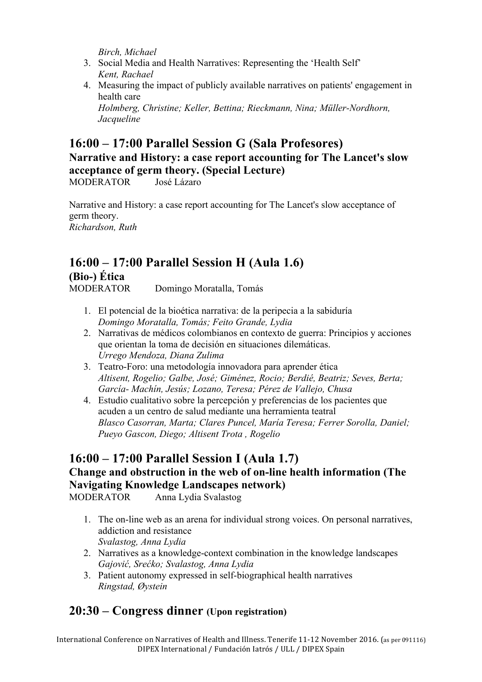*Birch, Michael*

- 3. Social Media and Health Narratives: Representing the 'Health Self' *Kent, Rachael*
- 4. Measuring the impact of publicly available narratives on patients' engagement in health care

*Holmberg, Christine; Keller, Bettina; Rieckmann, Nina; Müller-Nordhorn, Jacqueline*

## **16:00 – 17:00 Parallel Session G (Sala Profesores)**

### **Narrative and History: a case report accounting for The Lancet's slow acceptance of germ theory. (Special Lecture)**

MODERATOR José Lázaro

Narrative and History: a case report accounting for The Lancet's slow acceptance of germ theory. *Richardson, Ruth*

# **16:00 – 17:00 Parallel Session H (Aula 1.6) (Bio-) Ética**

MODERATOR Domingo Moratalla, Tomás

- 1. El potencial de la bioética narrativa: de la peripecia a la sabiduría *Domingo Moratalla, Tomás; Feito Grande, Lydia*
- 2. Narrativas de médicos colombianos en contexto de guerra: Principios y acciones que orientan la toma de decisión en situaciones dilemáticas. *Urrego Mendoza, Diana Zulima*
- 3. Teatro-Foro: una metodología innovadora para aprender ética *Altisent, Rogelio; Galbe, José; Giménez, Rocio; Berdié, Beatriz; Seves, Berta; García- Machín, Jesús; Lozano, Teresa; Pérez de Vallejo, Chusa*
- 4. Estudio cualitativo sobre la percepción y preferencias de los pacientes que acuden a un centro de salud mediante una herramienta teatral *Blasco Casorran, Marta; Clares Puncel, María Teresa; Ferrer Sorolla, Daniel; Pueyo Gascon, Diego; Altisent Trota , Rogelio*

## **16:00 – 17:00 Parallel Session I (Aula 1.7) Change and obstruction in the web of on-line health information (The Navigating Knowledge Landscapes network)**

MODERATOR Anna Lydia Svalastog

- 1. The on-line web as an arena for individual strong voices. On personal narratives, addiction and resistance *Svalastog, Anna Lydia*
- 2. Narratives as a knowledge-context combination in the knowledge landscapes *Gajović, Srećko; Svalastog, Anna Lydia*
- 3. Patient autonomy expressed in self-biographical health narratives *Ringstad, Øystein*

# **20:30 – Congress dinner (Upon registration)**

International Conference on Narratives of Health and Illness. Tenerife 11-12 November 2016. (as per 091116) DIPEX International / Fundación Iatrós / ULL / DIPEX Spain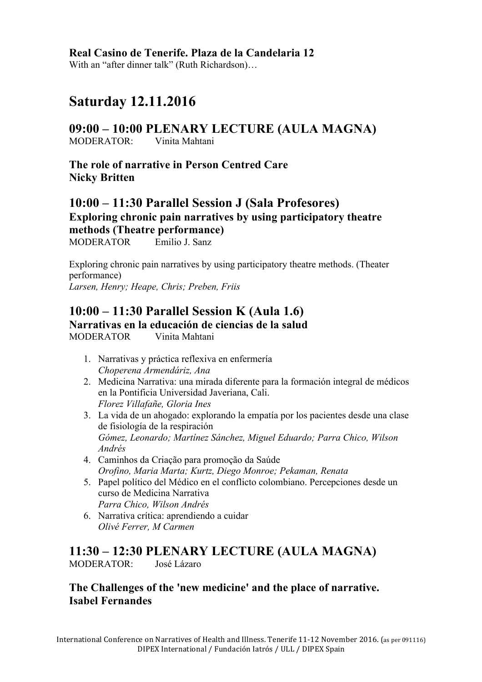#### **Real Casino de Tenerife. Plaza de la Candelaria 12**

With an "after dinner talk" (Ruth Richardson)…

# **Saturday 12.11.2016**

**09:00 – 10:00 PLENARY LECTURE (AULA MAGNA)** MODERATOR: Vinita Mahtani

**The role of narrative in Person Centred Care Nicky Britten**

#### **10:00 – 11:30 Parallel Session J (Sala Profesores) Exploring chronic pain narratives by using participatory theatre methods (Theatre performance)** MODERATOR Emilio J. Sanz

Exploring chronic pain narratives by using participatory theatre methods. (Theater performance) *Larsen, Henry; Heape, Chris; Preben, Friis*

# **10:00 – 11:30 Parallel Session K (Aula 1.6)**

**Narrativas en la educación de ciencias de la salud** MODERATOR Vinita Mahtani

- 1. Narrativas y práctica reflexiva en enfermería *Choperena Armendáriz, Ana*
- 2. Medicina Narrativa: una mirada diferente para la formación integral de médicos en la Pontificia Universidad Javeriana, Cali. *Florez Villafañe, Gloria Ines*
- 3. La vida de un ahogado: explorando la empatía por los pacientes desde una clase de fisiología de la respiración *Gómez, Leonardo; Martínez Sánchez, Miguel Eduardo; Parra Chico, Wilson Andrés*
- 4. Caminhos da Criação para promoção da Saúde *Orofino, Maria Marta; Kurtz, Diego Monroe; Pekaman, Renata*
- 5. Papel político del Médico en el conflicto colombiano. Percepciones desde un curso de Medicina Narrativa *Parra Chico, Wilson Andrés*
- 6. Narrativa crítica: aprendiendo a cuidar *Olivé Ferrer, M Carmen*

#### **11:30 – 12:30 PLENARY LECTURE (AULA MAGNA)** MODERATOR: José Lázaro

**The Challenges of the 'new medicine' and the place of narrative. Isabel Fernandes**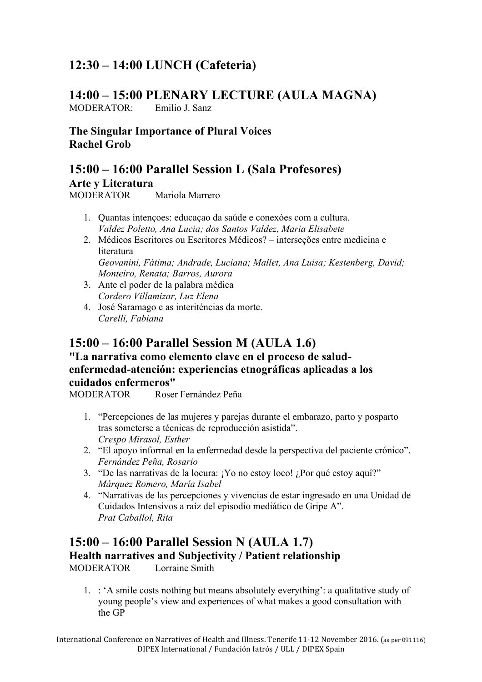# **12:30 – 14:00 LUNCH (Cafeteria)**

### **14:00 – 15:00 PLENARY LECTURE (AULA MAGNA)**

MODERATOR: Emilio J. Sanz

**The Singular Importance of Plural Voices Rachel Grob**

**15:00 – 16:00 Parallel Session L (Sala Profesores)**

**Arte y Literatura**

MODERATOR Mariola Marrero

- 1. Quantas intençoes: educaçao da saúde e conexóes com a cultura. *Valdez Poletto, Ana Lucia; dos Santos Valdez, Maria Elisabete*
- 2. Médicos Escritores ou Escritores Médicos? interseções entre medicina e literatura *Geovanini, Fátima; Andrade, Luciana; Mallet, Ana Luisa; Kestenberg, David; Monteiro, Renata; Barros, Aurora*
- 3. Ante el poder de la palabra médica *Cordero Villamizar, Luz Elena*
- 4. José Saramago e as interiténcias da morte. *Carelli, Fabiana*

## **15:00 – 16:00 Parallel Session M (AULA 1.6)**

#### **"La narrativa como elemento clave en el proceso de saludenfermedad-atención: experiencias etnográficas aplicadas a los cuidados enfermeros"**

MODERATOR Roser Fernández Peña

- 1. "Percepciones de las mujeres y parejas durante el embarazo, parto y posparto tras someterse a técnicas de reproducción asistida". *Crespo Mirasol, Esther*
- 2. "El apoyo informal en la enfermedad desde la perspectiva del paciente crónico". *Fernández Peña, Rosario*
- 3. "De las narrativas de la locura: ¡Yo no estoy loco! ¿Por qué estoy aquí?" *Márquez Romero, María Isabel*
- 4. "Narrativas de las percepciones y vivencias de estar ingresado en una Unidad de Cuidados Intensivos a raíz del episodio mediático de Gripe A". *Prat Caballol, Rita*

#### **15:00 – 16:00 Parallel Session N (AULA 1.7) Health narratives and Subjectivity / Patient relationship** MODERATOR Lorraine Smith

1. : 'A smile costs nothing but means absolutely everything': a qualitative study of young people's view and experiences of what makes a good consultation with the GP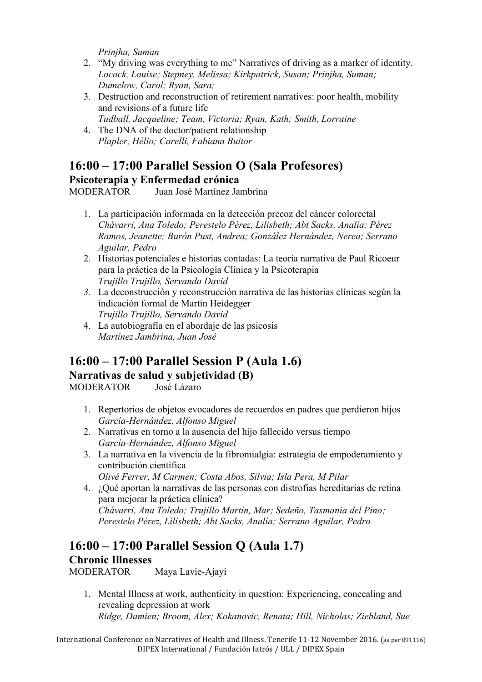*Prinjha, Suman*

- 2. "My driving was everything to me" Narratives of driving as a marker of identity. *Locock, Louise; Stepney, Melissa; Kirkpatrick, Susan; Prinjha, Suman; Dumelow, Carol; Ryan, Sara;*
- 3. Destruction and reconstruction of retirement narratives: poor health, mobility and revisions of a future life *Tudball, Jacqueline; Team, Victoria; Ryan, Kath; Smith, Lorraine*
- 4. The DNA of the doctor/patient relationship *Plapler, Hélio; Carelli, Fabiana Buitor*

### **16:00 – 17:00 Parallel Session O (Sala Profesores) Psicoterapia y Enfermedad crónica**

MODERATOR Juan José Martínez Jambrina

- 1. La participación informada en la detección precoz del cáncer colorectal *Chávarri, Ana Toledo; Perestelo Pérez, Lilisbeth; Abt Sacks, Analía; Pérez Ramos, Jeanette; Burón Pust, Andrea; González Hernández, Nerea; Serrano Aguilar, Pedro*
- 2. Historias potenciales e historias contadas: La teoría narrativa de Paul Ricoeur para la práctica de la Psicología Clínica y la Psicoterapia *Trujillo Trujillo, Servando David*
- *3.* La deconstrucción y reconstrucción narrativa de las historias clínicas según la indicación formal de Martin Heidegger *Trujillo Trujillo, Servando David*
- 4. La autobiografía en el abordaje de las psicosis *Martínez Jambrina, Juan José*

### **16:00 – 17:00 Parallel Session P (Aula 1.6) Narrativas de salud y subjetividad (B)**

MODERATOR José Lázaro

- 1. Repertorios de objetos evocadores de recuerdos en padres que perdieron hijos *García-Hernández, Alfonso Miguel*
- 2. Narrativas en torno a la ausencia del hijo fallecido versus tiempo *García-Hernández, Alfonso Miguel*
- 3. La narrativa en la vivencia de la fibromialgia: estrategia de empoderamiento y contribución científica *Olivé Ferrer, M Carmen; Costa Abos, Silvia; Isla Pera, M Pilar*

4. ¿Qué aportan la narrativas de las personas con distrofias hereditarias de retina para mejorar la práctica clínica? *Chávarri, Ana Toledo; Trujillo Martín, Mar; Sedeño, Tasmania del Pino; Perestelo Pérez, Lilisbeth; Abt Sacks, Analía; Serrano Aguilar, Pedro*

# **16:00 – 17:00 Parallel Session Q (Aula 1.7) Chronic Illnesses**

MODERATOR Maya Lavie-Ajayi

1. Mental Illness at work, authenticity in question: Experiencing, concealing and revealing depression at work *Ridge, Damien; Broom, Alex; Kokanovic, Renata; Hill, Nicholas; Ziebland, Sue*

International Conference on Narratives of Health and Illness. Tenerife 11-12 November 2016. (as per 091116) DIPEX International / Fundación Iatrós / ULL / DIPEX Spain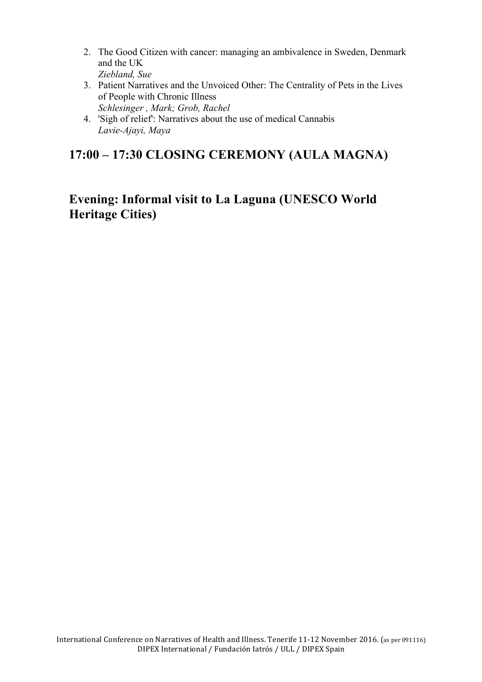- 2. The Good Citizen with cancer: managing an ambivalence in Sweden, Denmark and the UK *Ziebland, Sue*
- 3. Patient Narratives and the Unvoiced Other: The Centrality of Pets in the Lives of People with Chronic Illness *Schlesinger , Mark; Grob, Rachel*
- 4. 'Sigh of relief': Narratives about the use of medical Cannabis *Lavie-Ajayi, Maya*

# **17:00 – 17:30 CLOSING CEREMONY (AULA MAGNA)**

## **Evening: Informal visit to La Laguna (UNESCO World Heritage Cities)**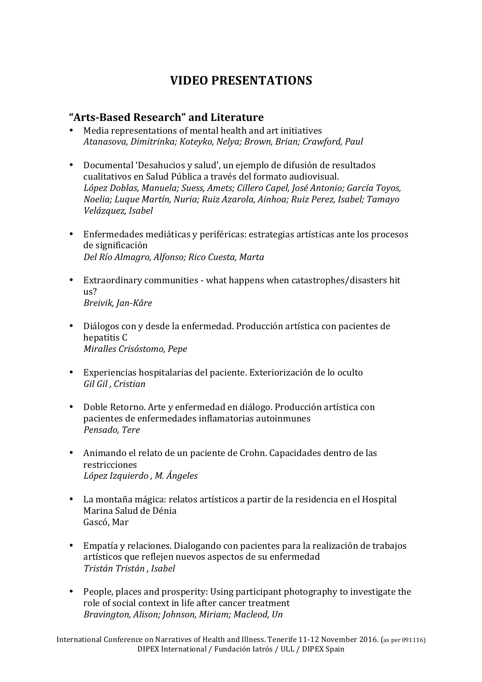# **VIDEO PRESENTATIONS**

#### **"Arts-Based Research" and Literature**

- Media representations of mental health and art initiatives *Atanasova, Dimitrinka; Koteyko, Nelya; Brown, Brian; Crawford, Paul*
- Documental 'Desahucios y salud', un ejemplo de difusión de resultados cualitativos en Salud Pública a través del formato audiovisual. López Doblas, Manuela; Suess, Amets; Cillero Capel, José Antonio; García Toyos, *Noelia; Luque Martín, Nuria; Ruiz Azarola, Ainhoa; Ruiz Perez, Isabel; Tamayo Velázquez, Isabel*
- Enfermedades mediáticas y periféricas: estrategias artísticas ante los procesos de significación *Del Río Almagro, Alfonso; Rico Cuesta, Marta*
- Extraordinary communities what happens when catastrophes/disasters hit  $11s<sup>2</sup>$ *Breivik, Jan-Kåre*
- Diálogos con y desde la enfermedad. Producción artística con pacientes de hepatitis C *Miralles Crisóstomo, Pepe*
- Experiencias hospitalarias del paciente. Exteriorización de lo oculto *Gil Gil , Cristian*
- Doble Retorno. Arte y enfermedad en diálogo. Producción artística con pacientes de enfermedades inflamatorias autoinmunes *Pensado, Tere*
- Animando el relato de un paciente de Crohn. Capacidades dentro de las restricciones *López Izquierdo , M. Ángeles*
- La montaña mágica: relatos artísticos a partir de la residencia en el Hospital Marina Salud de Dénia Gascó, Mar
- Empatía y relaciones. Dialogando con pacientes para la realización de trabajos artísticos que reflejen nuevos aspectos de su enfermedad *Tristán Tristán , Isabel*
- People, places and prosperity: Using participant photography to investigate the role of social context in life after cancer treatment *Bravington, Alison; Johnson, Miriam; Macleod, Un*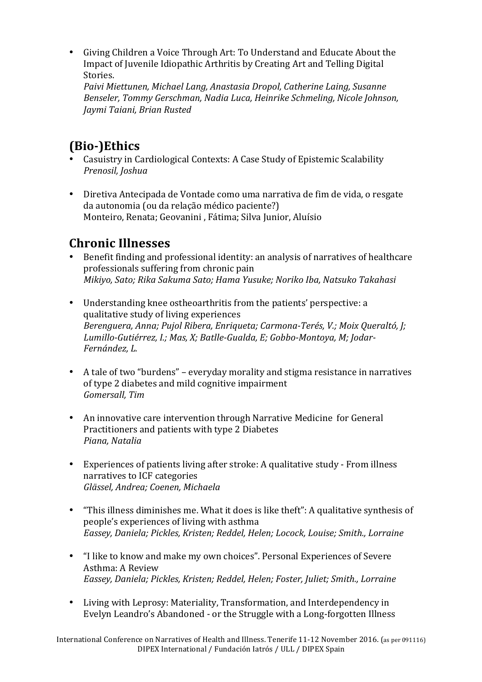• Giving Children a Voice Through Art: To Understand and Educate About the Impact of Juvenile Idiopathic Arthritis by Creating Art and Telling Digital Stories.

Paivi Miettunen, Michael Lang, Anastasia Dropol, Catherine Laing, Susanne *Benseler, Tommy Gerschman, Nadia Luca, Heinrike Schmeling, Nicole Johnson, Jaymi Taiani, Brian Rusted*

# **(Bio-)Ethics**

- Casuistry in Cardiological Contexts: A Case Study of Epistemic Scalability *Prenosil, Joshua*
- Diretiva Antecipada de Vontade como uma narrativa de fim de vida, o resgate da autonomia (ou da relação médico paciente?) Monteiro, Renata; Geovanini, Fátima; Silva Junior, Aluísio

# **Chronic Illnesses**

- Benefit finding and professional identity: an analysis of narratives of healthcare professionals suffering from chronic pain *Mikiyo, Sato; Rika Sakuma Sato; Hama Yusuke; Noriko Iba, Natsuko Takahasi*
- Understanding knee ostheoarthritis from the patients' perspective: a qualitative study of living experiences *Berenguera, Anna; Pujol Ribera, Enriqueta; Carmona-Terés, V.; Moix Queraltó, J;* Lumillo-Gutiérrez, *I.; Mas, X; Batlle-Gualda, E; Gobbo-Montoya, M; Jodar-Fernández, L.*
- A tale of two "burdens" everyday morality and stigma resistance in narratives of type 2 diabetes and mild cognitive impairment *Gomersall, Tim*
- An innovative care intervention through Narrative Medicine for General Practitioners and patients with type 2 Diabetes *Piana, Natalia*
- Experiences of patients living after stroke: A qualitative study From illness narratives to ICF categories *Glässel, Andrea; Coenen, Michaela*
- "This illness diminishes me. What it does is like theft": A qualitative synthesis of people's experiences of living with asthma *Eassey, Daniela; Pickles, Kristen; Reddel, Helen; Locock, Louise; Smith., Lorraine*
- "I like to know and make my own choices". Personal Experiences of Severe Asthma: A Review *Eassey, Daniela; Pickles, Kristen; Reddel, Helen; Foster, Juliet; Smith., Lorraine*
- Living with Leprosy: Materiality, Transformation, and Interdependency in Evelyn Leandro's Abandoned - or the Struggle with a Long-forgotten Illness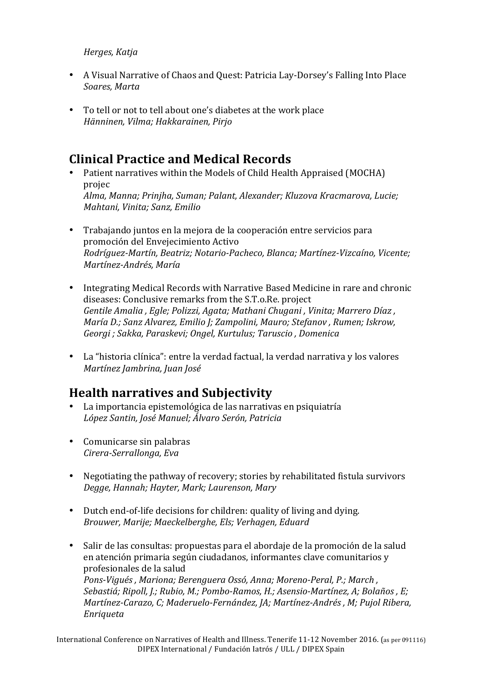#### *Herges, Katja*

- A Visual Narrative of Chaos and Quest: Patricia Lay-Dorsey's Falling Into Place *Soares, Marta*
- To tell or not to tell about one's diabetes at the work place *Hänninen, Vilma; Hakkarainen, Pirjo*

# **Clinical Practice and Medical Records**

- Patient narratives within the Models of Child Health Appraised (MOCHA) projec *Alma, Manna; Prinjha, Suman; Palant, Alexander; Kluzova Kracmarova, Lucie; Mahtani, Vinita; Sanz, Emilio*
- Trabajando juntos en la mejora de la cooperación entre servicios para promoción del Envejecimiento Activo *Rodríguez-Martín, Beatriz; Notario-Pacheco, Blanca; Martínez-Vizcaíno, Vicente; Martínez-Andrés, María*
- Integrating Medical Records with Narrative Based Medicine in rare and chronic diseases: Conclusive remarks from the S.T.o.Re. project Gentile Amalia, *Egle; Polizzi, Agata; Mathani Chugani*, Vinita; Marrero Díaz, *María D.; Sanz Alvarez, Emilio J; Zampolini, Mauro; Stefanov, Rumen; Iskrow,* Georgi ; Sakka, Paraskevi; Ongel, Kurtulus; Taruscio, Domenica
- La "historia clínica": entre la verdad factual, la verdad narrativa y los valores *Martínez Jambrina, Juan José*

## **Health narratives and Subjectivity**

- La importancia epistemológica de las narrativas en psiquiatría *López Santin, José Manuel; Álvaro Serón, Patricia*
- Comunicarse sin palabras *Cirera-Serrallonga, Eva*
- Negotiating the pathway of recovery; stories by rehabilitated fistula survivors *Degge, Hannah; Hayter, Mark; Laurenson, Mary*
- Dutch end-of-life decisions for children: quality of living and dying. *Brouwer, Marije; Maeckelberghe, Els; Verhagen, Eduard*
- Salir de las consultas: propuestas para el abordaje de la promoción de la salud en atención primaria según ciudadanos, informantes clave comunitarios y profesionales de la salud Pons-Vigués, Mariona; Berenguera Ossó, Anna; Moreno-Peral, P.; March, Sebastiá; Ripoll, J.; Rubio, M.; Pombo-Ramos, H.; Asensio-Martínez, A; Bolaños, E; *Martínez-Carazo, C; Maderuelo-Fernández, JA; Martínez-Andrés, M; Pujol Ribera, Enriqueta*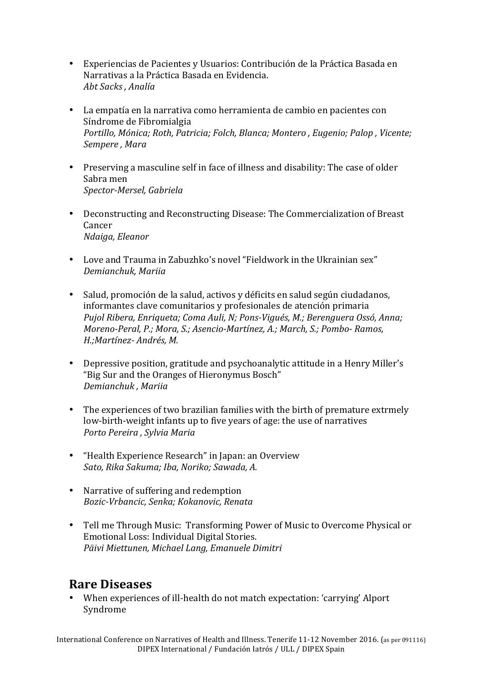- Experiencias de Pacientes y Usuarios: Contribución de la Práctica Basada en Narrativas a la Práctica Basada en Evidencia. *Abt Sacks , Analía*
- La empatía en la narrativa como herramienta de cambio en pacientes con Síndrome de Fibromialgia *Portillo, Mónica; Roth, Patricia; Folch, Blanca; Montero, Eugenio; Palop, Vicente; Sempere , Mara*
- Preserving a masculine self in face of illness and disability: The case of older Sabra men *Spector-Mersel, Gabriela*
- Deconstructing and Reconstructing Disease: The Commercialization of Breast Cancer *Ndaiga, Eleanor*
- Love and Trauma in Zabuzhko's novel "Fieldwork in the Ukrainian sex" *Demianchuk, Mariia*
- Salud, promoción de la salud, activos y déficits en salud según ciudadanos, informantes clave comunitarios y profesionales de atención primaria *Pujol Ribera, Enriqueta; Coma Auli, N; Pons-Vigués, M.; Berenguera Ossó, Anna; Moreno-Peral, P.; Mora, S.; Asencio-Martínez, A.; March, S.; Pombo- Ramos, H.;Martínez- Andrés, M.*
- Depressive position, gratitude and psychoanalytic attitude in a Henry Miller's "Big Sur and the Oranges of Hieronymus Bosch" *Demianchuk , Mariia*
- The experiences of two brazilian families with the birth of premature extrmely low-birth-weight infants up to five years of age: the use of narratives *Porto Pereira , Sylvia Maria*
- "Health Experience Research" in Japan: an Overview *Sato, Rika Sakuma; Iba, Noriko; Sawada, A.*
- Narrative of suffering and redemption *Bozic-Vrbancic, Senka; Kokanovic, Renata*
- Tell me Through Music: Transforming Power of Music to Overcome Physical or Emotional Loss: Individual Digital Stories. *Päivi Miettunen, Michael Lang, Emanuele Dimitri*

### **Rare Diseases**

• When experiences of ill-health do not match expectation: 'carrying' Alport Syndrome